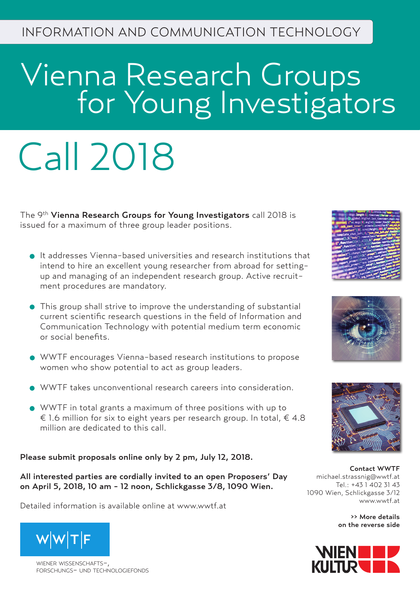# Vienna Research Groups **For Young Investigators**

# Call 2018

The 9<sup>th</sup> Vienna Research Groups for Young Investigators call 2018 is issued for a maximum of three group leader positions.

- It addresses Vienna-based universities and research institutions that intend to hire an excellent young researcher from abroad for settingup and managing of an independent research group. Active recruitment procedures are mandatory.
- This group shall strive to improve the understanding of substantial current scientific research questions in the field of Information and Communication Technology with potential medium term economic or social benefits.
- WWTF encourages Vienna-based research institutions to propose women who show potential to act as group leaders.
- WWTF takes unconventional research careers into consideration.
- WWTF in total grants a maximum of three positions with up to € 1.6 million for six to eight years per research group. In total,  $∈$  4.8 million are dedicated to this call.

Please submit proposals online only by 2 pm, July 12, 2018.

All interested parties are cordially invited to an open Proposers' Day on April 5, 2018, 10 am - 12 noon, Schlickgasse 3/8, 1090 Wien.

Detailed information is available online at www.wwtf.at



WIENER WISSENSCHAFTSforschungs- und technologiefonds







Contact WWTF michael.strassnig@wwtf.at Tel.: +43 1 402 31 43 1090 Wien, Schlickgasse 3/12 www.wwtf.at

>> More details on the reverse side